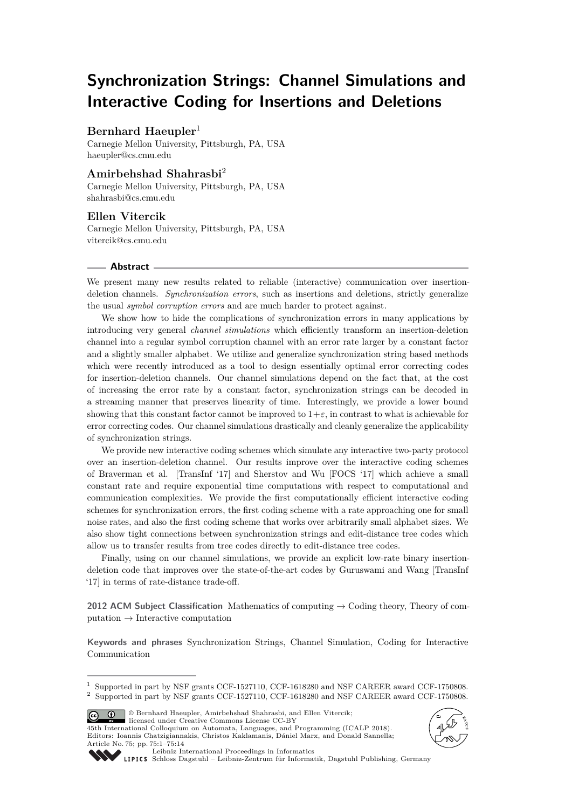# **Synchronization Strings: Channel Simulations and Interactive Coding for Insertions and Deletions**

# **Bernhard Haeupler**<sup>1</sup>

Carnegie Mellon University, Pittsburgh, PA, USA [haeupler@cs.cmu.edu](mailto:haeupler@cs.cmu.edu)

# **Amirbehshad Shahrasbi**<sup>2</sup>

Carnegie Mellon University, Pittsburgh, PA, USA [shahrasbi@cs.cmu.edu](mailto:shahrasbi@cs.cmu.edu)

# **Ellen Vitercik**

Carnegie Mellon University, Pittsburgh, PA, USA [vitercik@cs.cmu.edu](mailto:vitercik@cs.cmu.edu)

### **Abstract**

We present many new results related to reliable (interactive) communication over insertiondeletion channels. *Synchronization errors*, such as insertions and deletions, strictly generalize the usual *symbol corruption errors* and are much harder to protect against.

We show how to hide the complications of synchronization errors in many applications by introducing very general *channel simulations* which efficiently transform an insertion-deletion channel into a regular symbol corruption channel with an error rate larger by a constant factor and a slightly smaller alphabet. We utilize and generalize synchronization string based methods which were recently introduced as a tool to design essentially optimal error correcting codes for insertion-deletion channels. Our channel simulations depend on the fact that, at the cost of increasing the error rate by a constant factor, synchronization strings can be decoded in a streaming manner that preserves linearity of time. Interestingly, we provide a lower bound showing that this constant factor cannot be improved to  $1+\varepsilon$ , in contrast to what is achievable for error correcting codes. Our channel simulations drastically and cleanly generalize the applicability of synchronization strings.

We provide new interactive coding schemes which simulate any interactive two-party protocol over an insertion-deletion channel. Our results improve over the interactive coding schemes of Braverman et al. [TransInf '17] and Sherstov and Wu [FOCS '17] which achieve a small constant rate and require exponential time computations with respect to computational and communication complexities. We provide the first computationally efficient interactive coding schemes for synchronization errors, the first coding scheme with a rate approaching one for small noise rates, and also the first coding scheme that works over arbitrarily small alphabet sizes. We also show tight connections between synchronization strings and edit-distance tree codes which allow us to transfer results from tree codes directly to edit-distance tree codes.

Finally, using on our channel simulations, we provide an explicit low-rate binary insertiondeletion code that improves over the state-of-the-art codes by Guruswami and Wang [TransInf '17] in terms of rate-distance trade-off.

**2012 ACM Subject Classification** Mathematics of computing → Coding theory, Theory of computation → Interactive computation

**Keywords and phrases** Synchronization Strings, Channel Simulation, Coding for Interactive Communication

© Bernhard Haeupler, Amirbehshad Shahrasbi, and Ellen Vitercik;  $\boxed{6}$   $\boxed{0}$ 

licensed under Creative Commons License CC-BY

45th International Colloquium on Automata, Languages, and Programming (ICALP 2018). Editors: Ioannis Chatzigiannakis, Christos Kaklamanis, Dániel Marx, and Donald Sannella; Article No. 75; pp. 75:1–75[:14](#page-13-0)





[Leibniz International Proceedings in Informatics](http://www.dagstuhl.de/lipics/)

[Schloss Dagstuhl – Leibniz-Zentrum für Informatik, Dagstuhl Publishing, Germany](http://www.dagstuhl.de)

<sup>1</sup> Supported in part by NSF grants CCF-1527110, CCF-1618280 and NSF CAREER award CCF-1750808. <sup>2</sup> Supported in part by NSF grants CCF-1527110, CCF-1618280 and NSF CAREER award CCF-1750808.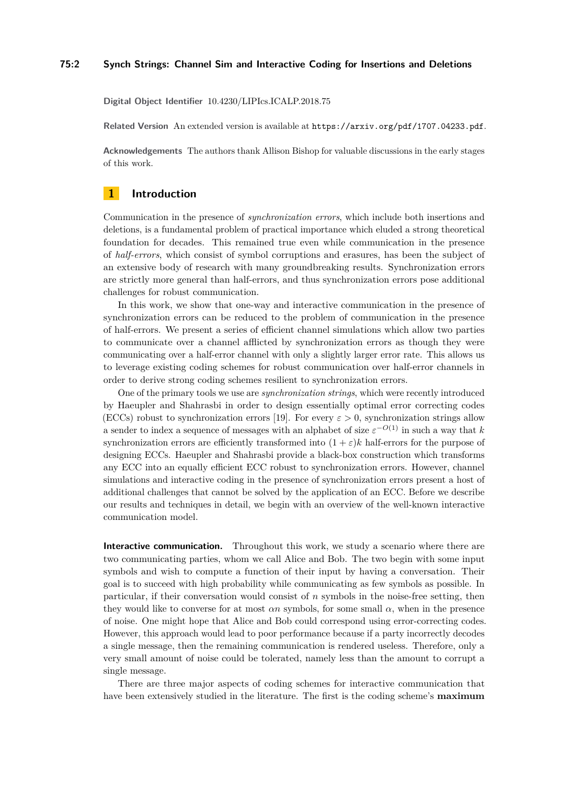### **75:2 Synch Strings: Channel Sim and Interactive Coding for Insertions and Deletions**

**Digital Object Identifier** [10.4230/LIPIcs.ICALP.2018.75](http://dx.doi.org/10.4230/LIPIcs.ICALP.2018.75)

**Related Version** An extended version is available at <https://arxiv.org/pdf/1707.04233.pdf>.

**Acknowledgements** The authors thank Allison Bishop for valuable discussions in the early stages of this work.

# **1 Introduction**

Communication in the presence of *synchronization errors*, which include both insertions and deletions, is a fundamental problem of practical importance which eluded a strong theoretical foundation for decades. This remained true even while communication in the presence of *half-errors*, which consist of symbol corruptions and erasures, has been the subject of an extensive body of research with many groundbreaking results. Synchronization errors are strictly more general than half-errors, and thus synchronization errors pose additional challenges for robust communication.

In this work, we show that one-way and interactive communication in the presence of synchronization errors can be reduced to the problem of communication in the presence of half-errors. We present a series of efficient channel simulations which allow two parties to communicate over a channel afflicted by synchronization errors as though they were communicating over a half-error channel with only a slightly larger error rate. This allows us to leverage existing coding schemes for robust communication over half-error channels in order to derive strong coding schemes resilient to synchronization errors.

One of the primary tools we use are *synchronization strings*, which were recently introduced by Haeupler and Shahrasbi in order to design essentially optimal error correcting codes (ECCs) robust to synchronization errors [\[19\]](#page-13-1). For every  $\varepsilon > 0$ , synchronization strings allow a sender to index a sequence of messages with an alphabet of size  $\varepsilon^{-O(1)}$  in such a way that *k* synchronization errors are efficiently transformed into  $(1 + \varepsilon)k$  half-errors for the purpose of designing ECCs. Haeupler and Shahrasbi provide a black-box construction which transforms any ECC into an equally efficient ECC robust to synchronization errors. However, channel simulations and interactive coding in the presence of synchronization errors present a host of additional challenges that cannot be solved by the application of an ECC. Before we describe our results and techniques in detail, we begin with an overview of the well-known interactive communication model.

**Interactive communication.** Throughout this work, we study a scenario where there are two communicating parties, whom we call Alice and Bob. The two begin with some input symbols and wish to compute a function of their input by having a conversation. Their goal is to succeed with high probability while communicating as few symbols as possible. In particular, if their conversation would consist of *n* symbols in the noise-free setting, then they would like to converse for at most *αn* symbols, for some small *α*, when in the presence of noise. One might hope that Alice and Bob could correspond using error-correcting codes. However, this approach would lead to poor performance because if a party incorrectly decodes a single message, then the remaining communication is rendered useless. Therefore, only a very small amount of noise could be tolerated, namely less than the amount to corrupt a single message.

There are three major aspects of coding schemes for interactive communication that have been extensively studied in the literature. The first is the coding scheme's **maximum**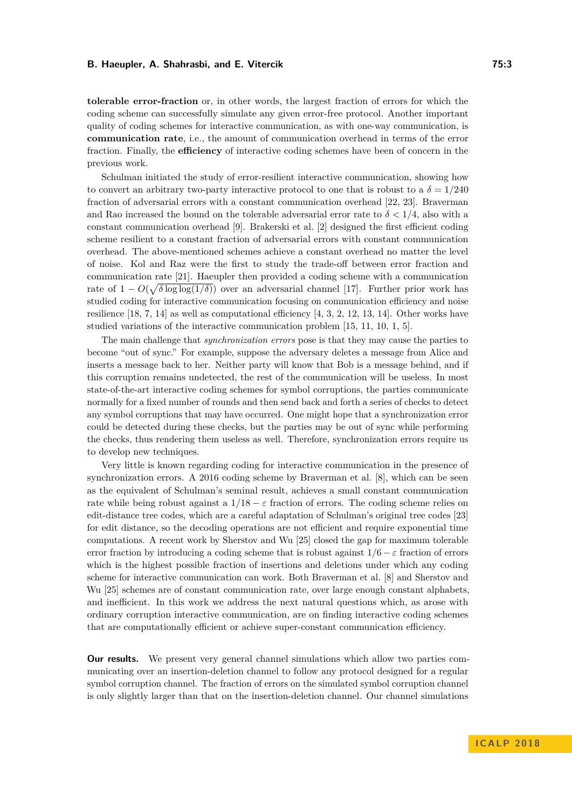**tolerable error-fraction** or, in other words, the largest fraction of errors for which the coding scheme can successfully simulate any given error-free protocol. Another important quality of coding schemes for interactive communication, as with one-way communication, is **communication rate**, i.e., the amount of communication overhead in terms of the error fraction. Finally, the **efficiency** of interactive coding schemes have been of concern in the previous work.

Schulman initiated the study of error-resilient interactive communication, showing how to convert an arbitrary two-party interactive protocol to one that is robust to a  $\delta = 1/240$ fraction of adversarial errors with a constant communication overhead [\[22,](#page-13-2) [23\]](#page-13-3). Braverman and Rao increased the bound on the tolerable adversarial error rate to  $\delta < 1/4$ , also with a constant communication overhead [\[9\]](#page-12-0). Brakerski et al. [\[2\]](#page-12-1) designed the first efficient coding scheme resilient to a constant fraction of adversarial errors with constant communication overhead. The above-mentioned schemes achieve a constant overhead no matter the level of noise. Kol and Raz were the first to study the trade-off between error fraction and communication rate [\[21\]](#page-13-4). Haeupler then provided a coding scheme with a communication rate of  $1 - O(\sqrt{\delta \log \log(1/\delta)})$  over an adversarial channel [\[17\]](#page-13-5). Further prior work has studied coding for interactive communication focusing on communication efficiency and noise resilience [\[18,](#page-13-6) [7,](#page-12-2) [14\]](#page-12-3) as well as computational efficiency [\[4,](#page-12-4) [3,](#page-12-5) [2,](#page-12-1) [12,](#page-12-6) [13,](#page-12-7) [14\]](#page-12-3). Other works have studied variations of the interactive communication problem [\[15,](#page-13-7) [11,](#page-12-8) [10,](#page-12-9) [1,](#page-12-10) [5\]](#page-12-11).

The main challenge that *synchronization errors* pose is that they may cause the parties to become "out of sync." For example, suppose the adversary deletes a message from Alice and inserts a message back to her. Neither party will know that Bob is a message behind, and if this corruption remains undetected, the rest of the communication will be useless. In most state-of-the-art interactive coding schemes for symbol corruptions, the parties communicate normally for a fixed number of rounds and then send back and forth a series of checks to detect any symbol corruptions that may have occurred. One might hope that a synchronization error could be detected during these checks, but the parties may be out of sync while performing the checks, thus rendering them useless as well. Therefore, synchronization errors require us to develop new techniques.

Very little is known regarding coding for interactive communication in the presence of synchronization errors. A 2016 coding scheme by Braverman et al. [\[8\]](#page-12-12), which can be seen as the equivalent of Schulman's seminal result, achieves a small constant communication rate while being robust against a  $1/18 - \varepsilon$  fraction of errors. The coding scheme relies on edit-distance tree codes, which are a careful adaptation of Schulman's original tree codes [\[23\]](#page-13-3) for edit distance, so the decoding operations are not efficient and require exponential time computations. A recent work by Sherstov and Wu [\[25\]](#page-13-8) closed the gap for maximum tolerable error fraction by introducing a coding scheme that is robust against  $1/6 - \varepsilon$  fraction of errors which is the highest possible fraction of insertions and deletions under which any coding scheme for interactive communication can work. Both Braverman et al. [\[8\]](#page-12-12) and Sherstov and Wu [\[25\]](#page-13-8) schemes are of constant communication rate, over large enough constant alphabets, and inefficient. In this work we address the next natural questions which, as arose with ordinary corruption interactive communication, are on finding interactive coding schemes that are computationally efficient or achieve super-constant communication efficiency.

**Our results.** We present very general channel simulations which allow two parties communicating over an insertion-deletion channel to follow any protocol designed for a regular symbol corruption channel. The fraction of errors on the simulated symbol corruption channel is only slightly larger than that on the insertion-deletion channel. Our channel simulations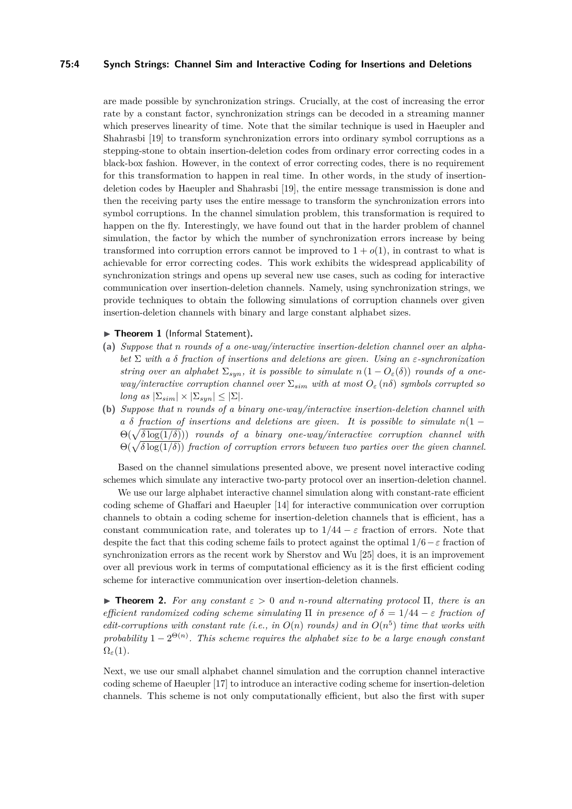### **75:4 Synch Strings: Channel Sim and Interactive Coding for Insertions and Deletions**

are made possible by synchronization strings. Crucially, at the cost of increasing the error rate by a constant factor, synchronization strings can be decoded in a streaming manner which preserves linearity of time. Note that the similar technique is used in Haeupler and Shahrasbi [\[19\]](#page-13-1) to transform synchronization errors into ordinary symbol corruptions as a stepping-stone to obtain insertion-deletion codes from ordinary error correcting codes in a black-box fashion. However, in the context of error correcting codes, there is no requirement for this transformation to happen in real time. In other words, in the study of insertiondeletion codes by Haeupler and Shahrasbi [\[19\]](#page-13-1), the entire message transmission is done and then the receiving party uses the entire message to transform the synchronization errors into symbol corruptions. In the channel simulation problem, this transformation is required to happen on the fly. Interestingly, we have found out that in the harder problem of channel simulation, the factor by which the number of synchronization errors increase by being transformed into corruption errors cannot be improved to  $1 + o(1)$ , in contrast to what is achievable for error correcting codes. This work exhibits the widespread applicability of synchronization strings and opens up several new use cases, such as coding for interactive communication over insertion-deletion channels. Namely, using synchronization strings, we provide techniques to obtain the following simulations of corruption channels over given insertion-deletion channels with binary and large constant alphabet sizes.

### ▶ Theorem 1 (Informal Statement).

- **(a)** *Suppose that n rounds of a one-way/interactive insertion-deletion channel over an alphabet* Σ *with a δ fraction of insertions and deletions are given. Using an ε-synchronization string over an alphabet*  $\Sigma_{syn}$ *, it is possible to simulate*  $n(1 - O_{\varepsilon}(\delta))$  *rounds of a oneway/interactive corruption channel over* Σ*sim with at most O<sup>ε</sup>* (*nδ*) *symbols corrupted so long as*  $|\Sigma_{sim}| \times |\Sigma_{syn}| \leq |\Sigma|$ *.*
- **(b)** *Suppose that n rounds of a binary one-way/interactive insertion-deletion channel with a*  $\delta$  *fraction of insertions and deletions are given. It is possible to simulate*  $n(1 - \epsilon)$  $\Theta(\sqrt{\delta \log(1/\delta)})$  *rounds of a binary one-way/interactive corruption channel with*  $\Theta(\sqrt{\delta \log(1/\delta)})$  *fraction of corruption errors between two parties over the given channel.*

Based on the channel simulations presented above, we present novel interactive coding schemes which simulate any interactive two-party protocol over an insertion-deletion channel.

We use our large alphabet interactive channel simulation along with constant-rate efficient coding scheme of Ghaffari and Haeupler [\[14\]](#page-12-3) for interactive communication over corruption channels to obtain a coding scheme for insertion-deletion channels that is efficient, has a constant communication rate, and tolerates up to  $1/44 - \varepsilon$  fraction of errors. Note that despite the fact that this coding scheme fails to protect against the optimal  $1/6 - \varepsilon$  fraction of synchronization errors as the recent work by Sherstov and Wu [\[25\]](#page-13-8) does, it is an improvement over all previous work in terms of computational efficiency as it is the first efficient coding scheme for interactive communication over insertion-deletion channels.

<span id="page-3-0"></span>**Figure 1.** For any constant  $\varepsilon > 0$  and *n*-round alternating protocol  $\Pi$ , there is an *efficient randomized coding scheme simulating*  $\Pi$  *in presence of*  $\delta = 1/44 - \varepsilon$  *fraction of edit-corruptions with constant rate (i.e., in*  $O(n)$  *rounds) and in*  $O(n^5)$  *time that works with probability*  $1 - 2^{\Theta(n)}$ . This scheme requires the alphabet size to be a large enough constant  $\Omega$ <sub>ε</sub>(1)*.* 

Next, we use our small alphabet channel simulation and the corruption channel interactive coding scheme of Haeupler [\[17\]](#page-13-5) to introduce an interactive coding scheme for insertion-deletion channels. This scheme is not only computationally efficient, but also the first with super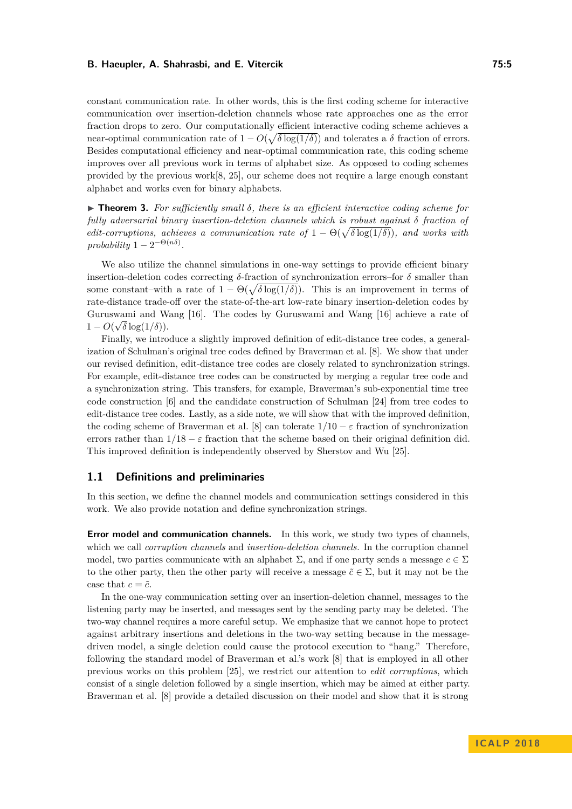constant communication rate. In other words, this is the first coding scheme for interactive communication over insertion-deletion channels whose rate approaches one as the error fraction drops to zero. Our computationally efficient interactive coding scheme achieves a near-optimal communication rate of  $1 - O(\sqrt{\delta \log(1/\delta)})$  and tolerates a  $\delta$  fraction of errors. Besides computational efficiency and near-optimal communication rate, this coding scheme improves over all previous work in terms of alphabet size. As opposed to coding schemes provided by the previous work $[8, 25]$  $[8, 25]$  $[8, 25]$ , our scheme does not require a large enough constant alphabet and works even for binary alphabets.

<span id="page-4-0"></span>I **Theorem 3.** *For sufficiently small δ, there is an efficient interactive coding scheme for fully adversarial binary insertion-deletion channels which is robust against δ fraction of edit-corruptions, achieves a communication rate of*  $1 - \Theta(\sqrt{\delta \log(1/\delta)})$ *, and works with*  $\text{probability } 1 - 2^{-\Theta(n\delta)}$ .

We also utilize the channel simulations in one-way settings to provide efficient binary insertion-deletion codes correcting *δ*-fraction of synchronization errors–for *δ* smaller than some constant–with a rate of  $1 - \Theta(\sqrt{\delta \log(1/\delta)})$ . This is an improvement in terms of rate-distance trade-off over the state-of-the-art low-rate binary insertion-deletion codes by Guruswami and Wang [\[16\]](#page-13-9). The codes by Guruswami and Wang [16] achieve a rate of  $1 - O(\sqrt{\delta} \log(1/\delta)).$ 

Finally, we introduce a slightly improved definition of edit-distance tree codes, a generalization of Schulman's original tree codes defined by Braverman et al. [\[8\]](#page-12-12). We show that under our revised definition, edit-distance tree codes are closely related to synchronization strings. For example, edit-distance tree codes can be constructed by merging a regular tree code and a synchronization string. This transfers, for example, Braverman's sub-exponential time tree code construction [\[6\]](#page-12-13) and the candidate construction of Schulman [\[24\]](#page-13-10) from tree codes to edit-distance tree codes. Lastly, as a side note, we will show that with the improved definition, the coding scheme of Braverman et al. [\[8\]](#page-12-12) can tolerate  $1/10 - \varepsilon$  fraction of synchronization errors rather than  $1/18 - \varepsilon$  fraction that the scheme based on their original definition did. This improved definition is independently observed by Sherstov and Wu [\[25\]](#page-13-8).

### **1.1 Definitions and preliminaries**

In this section, we define the channel models and communication settings considered in this work. We also provide notation and define synchronization strings.

**Error model and communication channels.** In this work, we study two types of channels, which we call *corruption channels* and *insertion-deletion channels.* In the corruption channel model, two parties communicate with an alphabet  $\Sigma$ , and if one party sends a message  $c \in \Sigma$ to the other party, then the other party will receive a message  $\tilde{c} \in \Sigma$ , but it may not be the case that  $c = \tilde{c}$ .

In the one-way communication setting over an insertion-deletion channel, messages to the listening party may be inserted, and messages sent by the sending party may be deleted. The two-way channel requires a more careful setup. We emphasize that we cannot hope to protect against arbitrary insertions and deletions in the two-way setting because in the messagedriven model, a single deletion could cause the protocol execution to "hang." Therefore, following the standard model of Braverman et al.'s work [\[8\]](#page-12-12) that is employed in all other previous works on this problem [\[25\]](#page-13-8), we restrict our attention to *edit corruptions*, which consist of a single deletion followed by a single insertion, which may be aimed at either party. Braverman et al. [\[8\]](#page-12-12) provide a detailed discussion on their model and show that it is strong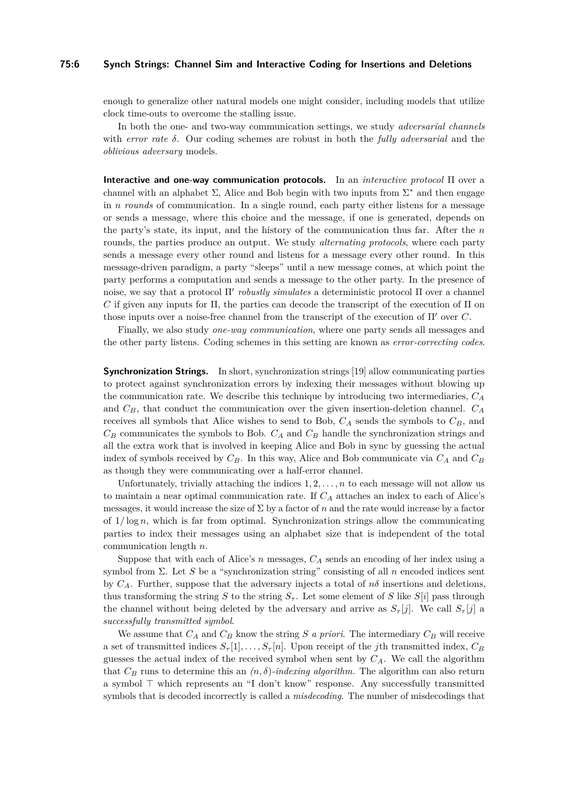### **75:6 Synch Strings: Channel Sim and Interactive Coding for Insertions and Deletions**

enough to generalize other natural models one might consider, including models that utilize clock time-outs to overcome the stalling issue.

In both the one- and two-way communication settings, we study *adversarial channels* with *error rate δ*. Our coding schemes are robust in both the *fully adversarial* and the *oblivious adversary* models.

**Interactive and one-way communication protocols.** In an *interactive protocol* Π over a channel with an alphabet  $\Sigma$ , Alice and Bob begin with two inputs from  $\Sigma^*$  and then engage in *n rounds* of communication. In a single round, each party either listens for a message or sends a message, where this choice and the message, if one is generated, depends on the party's state, its input, and the history of the communication thus far. After the *n* rounds, the parties produce an output. We study *alternating protocols*, where each party sends a message every other round and listens for a message every other round. In this message-driven paradigm, a party "sleeps" until a new message comes, at which point the party performs a computation and sends a message to the other party. In the presence of noise, we say that a protocol Π' *robustly simulates* a deterministic protocol Π over a channel  $C$  if given any inputs for Π, the parties can decode the transcript of the execution of Π on those inputs over a noise-free channel from the transcript of the execution of  $\Pi'$  over *C*.

Finally, we also study *one-way communication*, where one party sends all messages and the other party listens. Coding schemes in this setting are known as *error-correcting codes*.

**Synchronization Strings.** In short, synchronization strings [\[19\]](#page-13-1) allow communicating parties to protect against synchronization errors by indexing their messages without blowing up the communication rate. We describe this technique by introducing two intermediaries, *C<sup>A</sup>* and *CB*, that conduct the communication over the given insertion-deletion channel. *C<sup>A</sup>* receives all symbols that Alice wishes to send to Bob,  $C_A$  sends the symbols to  $C_B$ , and *C<sup>B</sup>* communicates the symbols to Bob. *C<sup>A</sup>* and *C<sup>B</sup>* handle the synchronization strings and all the extra work that is involved in keeping Alice and Bob in sync by guessing the actual index of symbols received by  $C_B$ . In this way, Alice and Bob communicate via  $C_A$  and  $C_B$ as though they were communicating over a half-error channel.

Unfortunately, trivially attaching the indices  $1, 2, \ldots, n$  to each message will not allow us to maintain a near optimal communication rate. If *C<sup>A</sup>* attaches an index to each of Alice's messages, it would increase the size of Σ by a factor of *n* and the rate would increase by a factor of 1*/* log *n*, which is far from optimal. Synchronization strings allow the communicating parties to index their messages using an alphabet size that is independent of the total communication length *n*.

Suppose that with each of Alice's *n* messages, *C<sup>A</sup>* sends an encoding of her index using a symbol from Σ. Let *S* be a "synchronization string" consisting of all *n* encoded indices sent by  $C_A$ . Further, suppose that the adversary injects a total of  $n\delta$  insertions and deletions, thus transforming the string *S* to the string  $S_{\tau}$ . Let some element of *S* like  $S[i]$  pass through the channel without being deleted by the adversary and arrive as  $S_{\tau}[j]$ . We call  $S_{\tau}[j]$  a *successfully transmitted symbol*.

We assume that  $C_A$  and  $C_B$  know the string  $S$  *a priori*. The intermediary  $C_B$  will receive a set of transmitted indices  $S_{\tau}[1], \ldots, S_{\tau}[n]$ . Upon receipt of the *j*th transmitted index,  $C_B$ guesses the actual index of the received symbol when sent by *CA*. We call the algorithm that  $C_B$  runs to determine this an  $(n, \delta)$ *-indexing algorithm*. The algorithm can also return a symbol  $\top$  which represents an "I don't know" response. Any successfully transmitted symbols that is decoded incorrectly is called a *misdecoding*. The number of misdecodings that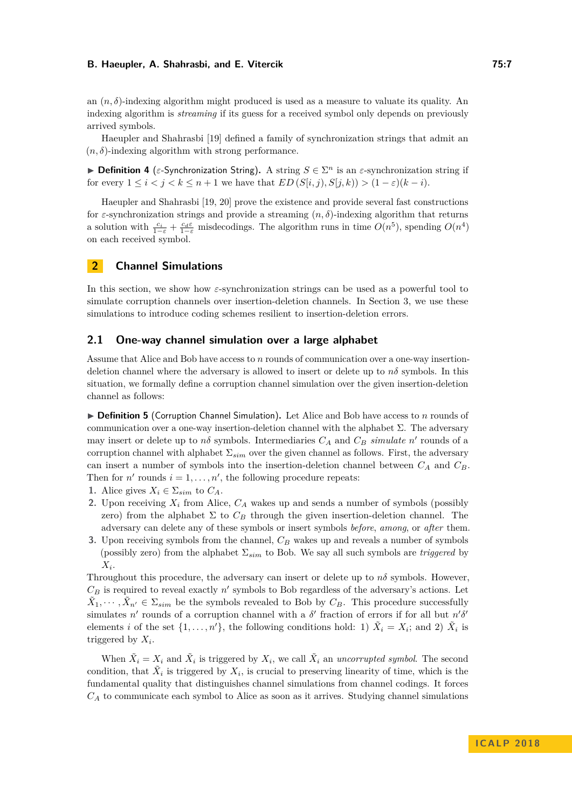an  $(n, \delta)$ -indexing algorithm might produced is used as a measure to valuate its quality. An indexing algorithm is *streaming* if its guess for a received symbol only depends on previously arrived symbols.

Haeupler and Shahrasbi [\[19\]](#page-13-1) defined a family of synchronization strings that admit an  $(n, \delta)$ -indexing algorithm with strong performance.

**Definition 4** ( $\varepsilon$ -Synchronization String). A string  $S \in \Sigma^n$  is an  $\varepsilon$ -synchronization string if for every  $1 \leq i < j < k \leq n+1$  we have that  $ED(S[i, j), S[j, k)) > (1 - \varepsilon)(k - i)$ .

Haeupler and Shahrasbi [\[19,](#page-13-1) [20\]](#page-13-11) prove the existence and provide several fast constructions for  $\varepsilon$ -synchronization strings and provide a streaming  $(n, \delta)$ -indexing algorithm that returns a solution with  $\frac{c_i}{1-\varepsilon} + \frac{c_d\varepsilon}{1-\varepsilon}$  misdecodings. The algorithm runs in time  $O(n^5)$ , spending  $O(n^4)$ on each received symbol.

# **2 Channel Simulations**

In this section, we show how *ε*-synchronization strings can be used as a powerful tool to simulate corruption channels over insertion-deletion channels. In Section [3,](#page-11-0) we use these simulations to introduce coding schemes resilient to insertion-deletion errors.

### <span id="page-6-0"></span>**2.1 One-way channel simulation over a large alphabet**

Assume that Alice and Bob have access to *n* rounds of communication over a one-way insertiondeletion channel where the adversary is allowed to insert or delete up to  $n\delta$  symbols. In this situation, we formally define a corruption channel simulation over the given insertion-deletion channel as follows:

 $\triangleright$  **Definition 5** (Corruption Channel Simulation). Let Alice and Bob have access to *n* rounds of communication over a one-way insertion-deletion channel with the alphabet  $\Sigma$ . The adversary may insert or delete up to  $n\delta$  symbols. Intermediaries  $C_A$  and  $C_B$  *simulate*  $n'$  rounds of a corruption channel with alphabet  $\Sigma_{sim}$  over the given channel as follows. First, the adversary can insert a number of symbols into the insertion-deletion channel between *C<sup>A</sup>* and *CB*. Then for  $n'$  rounds  $i = 1, \ldots, n'$ , the following procedure repeats:

- **1.** Alice gives  $X_i \in \Sigma_{sim}$  to  $C_A$ .
- **2.** Upon receiving  $X_i$  from Alice,  $C_A$  wakes up and sends a number of symbols (possibly zero) from the alphabet  $\Sigma$  to  $C_B$  through the given insertion-deletion channel. The adversary can delete any of these symbols or insert symbols *before*, *among*, or *after* them.
- **3.** Upon receiving symbols from the channel, *C<sup>B</sup>* wakes up and reveals a number of symbols (possibly zero) from the alphabet  $\Sigma_{sim}$  to Bob. We say all such symbols are *triggered* by *X<sup>i</sup>* .

Throughout this procedure, the adversary can insert or delete up to  $n\delta$  symbols. However,  $C_B$  is required to reveal exactly  $n'$  symbols to Bob regardless of the adversary's actions. Let  $\tilde{X}_1, \dots, \tilde{X}_{n'} \in \Sigma_{sim}$  be the symbols revealed to Bob by  $C_B$ . This procedure successfully simulates *n*<sup>'</sup> rounds of a corruption channel with a  $\delta'$  fraction of errors if for all but  $n'\delta'$ elements *i* of the set  $\{1, \ldots, n'\}$ , the following conditions hold: 1)  $\tilde{X}_i = X_i$ ; and 2)  $\tilde{X}_i$  is triggered by *X<sup>i</sup>* .

When  $\tilde{X}_i = X_i$  and  $\tilde{X}_i$  is triggered by  $X_i$ , we call  $\tilde{X}_i$  an *uncorrupted symbol*. The second condition, that  $\tilde{X}_i$  is triggered by  $X_i$ , is crucial to preserving linearity of time, which is the fundamental quality that distinguishes channel simulations from channel codings. It forces *C<sup>A</sup>* to communicate each symbol to Alice as soon as it arrives. Studying channel simulations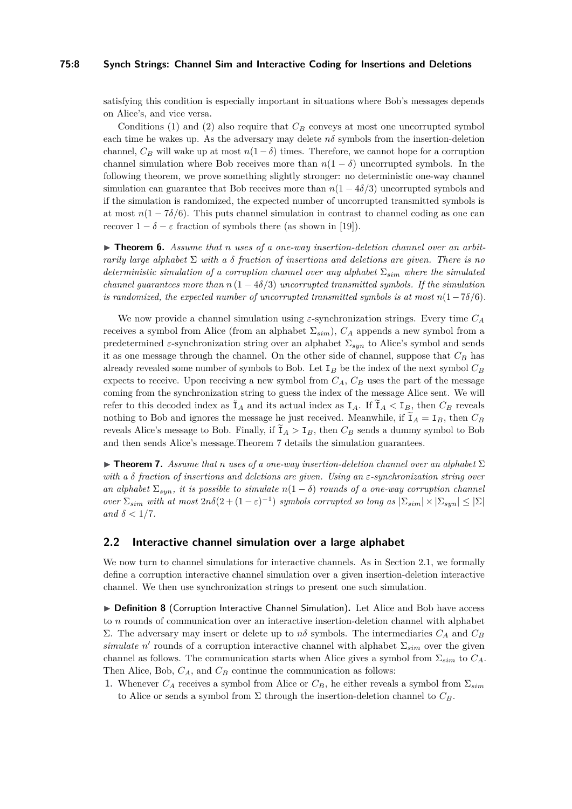### **75:8 Synch Strings: Channel Sim and Interactive Coding for Insertions and Deletions**

satisfying this condition is especially important in situations where Bob's messages depends on Alice's, and vice versa.

Conditions (1) and (2) also require that *C<sup>B</sup>* conveys at most one uncorrupted symbol each time he wakes up. As the adversary may delete  $n\delta$  symbols from the insertion-deletion channel,  $C_B$  will wake up at most  $n(1 - \delta)$  times. Therefore, we cannot hope for a corruption channel simulation where Bob receives more than  $n(1 - \delta)$  uncorrupted symbols. In the following theorem, we prove something slightly stronger: no deterministic one-way channel simulation can guarantee that Bob receives more than  $n(1 - 4\delta/3)$  uncorrupted symbols and if the simulation is randomized, the expected number of uncorrupted transmitted symbols is at most  $n(1 - 7\delta/6)$ . This puts channel simulation in contrast to channel coding as one can recover  $1 - \delta - \varepsilon$  fraction of symbols there (as shown in [\[19\]](#page-13-1)).

▶ **Theorem 6.** Assume that *n* uses of a one-way insertion-deletion channel over an arbit*rarily large alphabet* Σ *with a δ fraction of insertions and deletions are given. There is no deterministic simulation of a corruption channel over any alphabet* Σ*sim where the simulated channel guarantees more than*  $n(1 - 4\delta/3)$  *uncorrupted transmitted symbols. If the simulation is randomized, the expected number of uncorrupted transmitted symbols is at most*  $n(1-\frac{7\delta}{6})$ .

We now provide a channel simulation using *ε*-synchronization strings. Every time *C<sup>A</sup>* receives a symbol from Alice (from an alphabet  $\Sigma_{sim}$ ),  $C_A$  appends a new symbol from a predetermined *ε*-synchronization string over an alphabet Σ*syn* to Alice's symbol and sends it as one message through the channel. On the other side of channel, suppose that *C<sup>B</sup>* has already revealed some number of symbols to Bob. Let I*<sup>B</sup>* be the index of the next symbol *C<sup>B</sup>* expects to receive. Upon receiving a new symbol from  $C_A$ ,  $C_B$  uses the part of the message coming from the synchronization string to guess the index of the message Alice sent. We will refer to this decoded index as  $I_A$  and its actual index as  $I_A$ . If  $I_A < I_B$ , then  $C_B$  reveals nothing to Bob and ignores the message he just received. Meanwhile, if  $I_A = I_B$ , then  $C_B$ reveals Alice's message to Bob. Finally, if  $I_A > I_B$ , then  $C_B$  sends a dummy symbol to Bob and then sends Alice's message.Theorem [7](#page-7-0) details the simulation guarantees.

<span id="page-7-0"></span>**Findmen 7.** Assume that *n* uses of a one-way insertion-deletion channel over an alphabet  $\Sigma$ *with a δ fraction of insertions and deletions are given. Using an ε-synchronization string over an alphabet*  $\Sigma_{sum}$ *, it is possible to simulate*  $n(1 - \delta)$  *rounds of a one-way corruption channel over*  $\Sigma_{sim}$  *with at most*  $2n\delta(2+(1-\varepsilon)^{-1})$  *symbols corrupted so long as*  $|\Sigma_{sim}| \times |\Sigma_{syn}| \leq |\Sigma|$ *and*  $\delta$  < 1/7*.* 

### **2.2 Interactive channel simulation over a large alphabet**

We now turn to channel simulations for interactive channels. As in Section [2.1,](#page-6-0) we formally define a corruption interactive channel simulation over a given insertion-deletion interactive channel. We then use synchronization strings to present one such simulation.

▶ Definition 8 (Corruption Interactive Channel Simulation). Let Alice and Bob have access to *n* rounds of communication over an interactive insertion-deletion channel with alphabet Σ. The adversary may insert or delete up to *nδ* symbols. The intermediaries  $C_A$  and  $C_B$ *simulate n*<sup>'</sup> rounds of a corruption interactive channel with alphabet  $\Sigma_{sim}$  over the given channel as follows. The communication starts when Alice gives a symbol from Σ*sim* to *CA*. Then Alice, Bob, *CA*, and *C<sup>B</sup>* continue the communication as follows:

**1.** Whenever  $C_A$  receives a symbol from Alice or  $C_B$ , he either reveals a symbol from  $\Sigma_{sim}$ to Alice or sends a symbol from  $\Sigma$  through the insertion-deletion channel to  $C_B$ .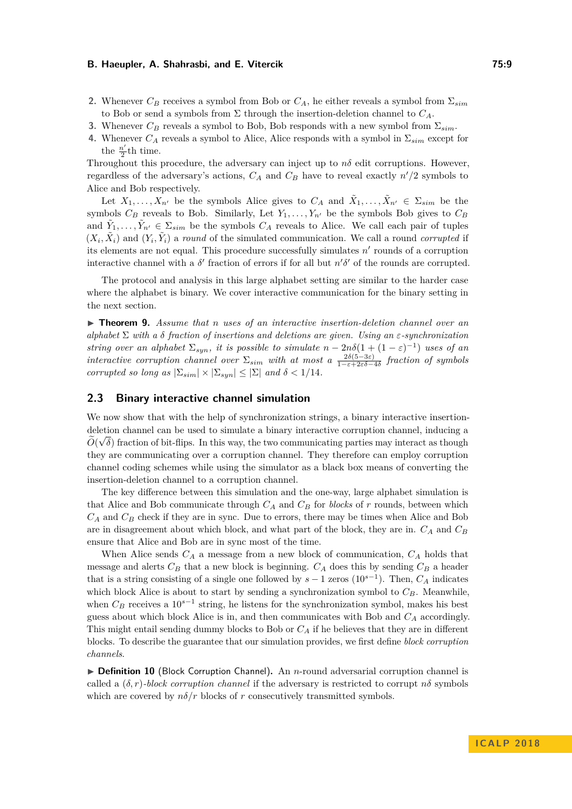- **2.** Whenever  $C_B$  receives a symbol from Bob or  $C_A$ , he either reveals a symbol from  $\Sigma_{sim}$ to Bob or send a symbols from  $\Sigma$  through the insertion-deletion channel to  $C_A$ .
- **3.** Whenever  $C_B$  reveals a symbol to Bob, Bob responds with a new symbol from  $\Sigma_{sim}$ .
- **4.** Whenever  $C_A$  reveals a symbol to Alice, Alice responds with a symbol in  $\Sigma_{sim}$  except for the  $\frac{n'}{2}$  $\frac{\pi}{2}$ th time.

Throughout this procedure, the adversary can inject up to  $n\delta$  edit corruptions. However, regardless of the adversary's actions,  $C_A$  and  $C_B$  have to reveal exactly  $n'/2$  symbols to Alice and Bob respectively.

Let  $X_1, \ldots, X_{n'}$  be the symbols Alice gives to  $C_A$  and  $\tilde{X}_1, \ldots, \tilde{X}_{n'} \in \Sigma_{sim}$  be the symbols  $C_B$  reveals to Bob. Similarly, Let  $Y_1, \ldots, Y_{n'}$  be the symbols Bob gives to  $C_B$ and  $\tilde{Y}_1, \ldots, \tilde{Y}_{n'} \in \Sigma_{sim}$  be the symbols  $C_A$  reveals to Alice. We call each pair of tuples  $(X_i, \tilde{X}_i)$  and  $(Y_i, \tilde{Y}_i)$  a *round* of the simulated communication. We call a round *corrupted* if its elements are not equal. This procedure successfully simulates  $n'$  rounds of a corruption interactive channel with a  $\delta'$  fraction of errors if for all but  $n'\delta'$  of the rounds are corrupted.

The protocol and analysis in this large alphabet setting are similar to the harder case where the alphabet is binary. We cover interactive communication for the binary setting in the next section.

<span id="page-8-0"></span>I **Theorem 9.** *Assume that n uses of an interactive insertion-deletion channel over an alphabet* Σ *with a δ fraction of insertions and deletions are given. Using an ε-synchronization string over an alphabet*  $\Sigma_{syn}$ *, it is possible to simulate*  $n - 2n\delta(1 + (1 - \varepsilon)^{-1})$  *uses of an interactive corruption channel over*  $\Sigma_{sim}$  *with at most a*  $\frac{2\delta(5-3\varepsilon)}{1-\varepsilon+2\varepsilon\delta-4\delta}$  fraction of symbols *corrupted so long as*  $|\Sigma_{sim}| \times |\Sigma_{syn}| \leq |\Sigma|$  *and*  $\delta < 1/14$ *.* 

## **2.3 Binary interactive channel simulation**

We now show that with the help of synchronization strings, a binary interactive insertiondeletion channel can be used to simulate a binary interactive corruption channel, inducing a  $\tilde{z}$  $O(\sqrt{\delta})$  fraction of bit-flips. In this way, the two communicating parties may interact as though they are communicating over a corruption channel. They therefore can employ corruption channel coding schemes while using the simulator as a black box means of converting the insertion-deletion channel to a corruption channel.

The key difference between this simulation and the one-way, large alphabet simulation is that Alice and Bob communicate through *C<sup>A</sup>* and *C<sup>B</sup>* for *blocks* of *r* rounds, between which *C<sup>A</sup>* and *C<sup>B</sup>* check if they are in sync. Due to errors, there may be times when Alice and Bob are in disagreement about which block, and what part of the block, they are in. *C<sup>A</sup>* and *C<sup>B</sup>* ensure that Alice and Bob are in sync most of the time.

When Alice sends *C<sup>A</sup>* a message from a new block of communication, *C<sup>A</sup>* holds that message and alerts  $C_B$  that a new block is beginning.  $C_A$  does this by sending  $C_B$  a header that is a string consisting of a single one followed by  $s-1$  zeros  $(10^{s-1})$ . Then,  $C_A$  indicates which block Alice is about to start by sending a synchronization symbol to *CB*. Meanwhile, when  $C_B$  receives a 10<sup>*s*−1</sup> string, he listens for the synchronization symbol, makes his best guess about which block Alice is in, and then communicates with Bob and *C<sup>A</sup>* accordingly. This might entail sending dummy blocks to Bob or *C<sup>A</sup>* if he believes that they are in different blocks. To describe the guarantee that our simulation provides, we first define *block corruption channels*.

▶ **Definition 10** (Block Corruption Channel). An *n*-round adversarial corruption channel is called a  $(\delta, r)$ -block corruption channel if the adversary is restricted to corrupt  $n\delta$  symbols which are covered by  $n\delta/r$  blocks of *r* consecutively transmitted symbols.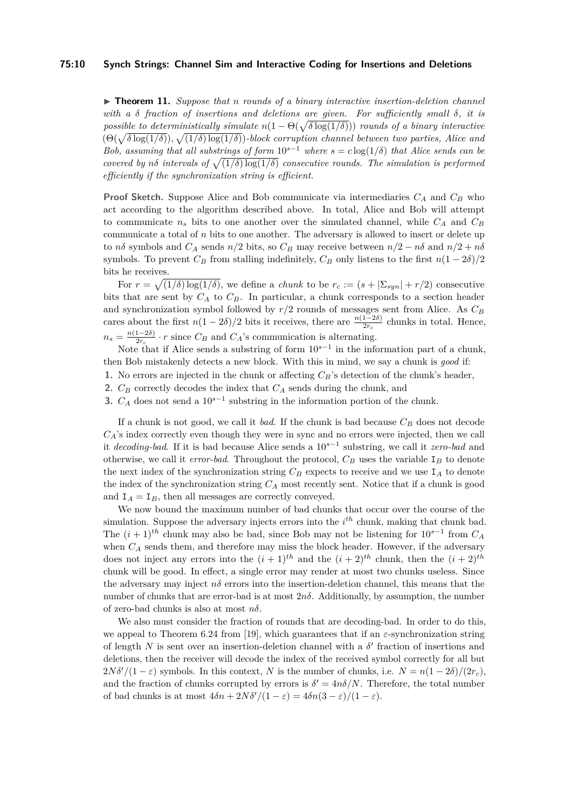### **75:10 Synch Strings: Channel Sim and Interactive Coding for Insertions and Deletions**

<span id="page-9-0"></span>▶ **Theorem 11.** *Suppose that n rounds* of *a binary interactive insertion-deletion channel with a δ fraction of insertions and deletions are given. For sufficiently small δ, it is possible to deterministically simulate*  $n(1 - \Theta(\sqrt{\delta \log(1/\delta)}))$  *rounds of a binary interactive*  $(\Theta(\sqrt{\delta \log(1/\delta)}), \sqrt{(1/\delta) \log(1/\delta)})$ -block corruption channel between two parties, Alice and *Bob, assuming that all substrings of form*  $10^{s-1}$  *where*  $s = c \log(1/\delta)$  *that Alice sends can be covered by* not *intervals of*  $\sqrt{(1/\delta)\log(1/\delta)}$  *consecutive rounds. The simulation is performed efficiently if the synchronization string is efficient.*

**Proof Sketch.** Suppose Alice and Bob communicate via intermediaries *C<sup>A</sup>* and *C<sup>B</sup>* who act according to the algorithm described above. In total, Alice and Bob will attempt to communicate  $n<sub>s</sub>$  bits to one another over the simulated channel, while  $C_A$  and  $C_B$ communicate a total of *n* bits to one another. The adversary is allowed to insert or delete up to *nδ* symbols and  $C_A$  sends  $n/2$  bits, so  $C_B$  may receive between  $n/2 - n\delta$  and  $n/2 + n\delta$ symbols. To prevent  $C_B$  from stalling indefinitely,  $C_B$  only listens to the first  $n(1-2\delta)/2$ bits he receives.

For  $r = \sqrt{(1/\delta)\log(1/\delta)}$ , we define a *chunk* to be  $r_c := (s + |\Sigma_{syn}| + r/2)$  consecutive bits that are sent by  $C_A$  to  $C_B$ . In particular, a chunk corresponds to a section header and synchronization symbol followed by *r/*2 rounds of messages sent from Alice. As *C<sup>B</sup>* cares about the first  $n(1 - 2\delta)/2$  bits it receives, there are  $\frac{n(1-2\delta)}{2r_c}$  chunks in total. Hence,  $n_s = \frac{n(1-2\delta)}{2r_s}$  $\frac{1-2\delta}{2r_c} \cdot r$  since  $C_B$  and  $C_A$ 's communication is alternating.

Note that if Alice sends a substring of form 10*<sup>s</sup>*−<sup>1</sup> in the information part of a chunk, then Bob mistakenly detects a new block. With this in mind, we say a chunk is *good* if:

- **1.** No errors are injected in the chunk or affecting *CB*'s detection of the chunk's header,
- **2.** *C<sup>B</sup>* correctly decodes the index that *C<sup>A</sup>* sends during the chunk, and
- **3.**  $C_A$  does not send a 10<sup>*s*−1</sup> substring in the information portion of the chunk.

If a chunk is not good, we call it *bad*. If the chunk is bad because  $C_B$  does not decode *CA*'s index correctly even though they were in sync and no errors were injected, then we call it *decoding-bad*. If it is bad because Alice sends a 10*<sup>s</sup>*−<sup>1</sup> substring, we call it *zero-bad* and otherwise, we call it *error-bad*. Throughout the protocol,  $C_B$  uses the variable  $I_B$  to denote the next index of the synchronization string  $C_B$  expects to receive and we use  $I_A$  to denote the index of the synchronization string *C<sup>A</sup>* most recently sent. Notice that if a chunk is good and  $I_A = I_B$ , then all messages are correctly conveyed.

We now bound the maximum number of bad chunks that occur over the course of the simulation. Suppose the adversary injects errors into the *i th* chunk, making that chunk bad. The  $(i + 1)$ <sup>th</sup> chunk may also be bad, since Bob may not be listening for  $10^{s-1}$  from  $C_A$ when  $C_A$  sends them, and therefore may miss the block header. However, if the adversary does not inject any errors into the  $(i + 1)$ <sup>th</sup> and the  $(i + 2)$ <sup>th</sup> chunk, then the  $(i + 2)$ <sup>th</sup> chunk will be good. In effect, a single error may render at most two chunks useless. Since the adversary may inject  $n\delta$  errors into the insertion-deletion channel, this means that the number of chunks that are error-bad is at most  $2n\delta$ . Additionally, by assumption, the number of zero-bad chunks is also at most *nδ*.

We also must consider the fraction of rounds that are decoding-bad. In order to do this, we appeal to Theorem 6.24 from [\[19\]](#page-13-1), which guarantees that if an  $\varepsilon$ -synchronization string of length  $N$  is sent over an insertion-deletion channel with a  $\delta'$  fraction of insertions and deletions, then the receiver will decode the index of the received symbol correctly for all but  $2N\delta'/(1-\epsilon)$  symbols. In this context, *N* is the number of chunks, i.e.  $N = n(1-2\delta)/(2r_c)$ , and the fraction of chunks corrupted by errors is  $\delta' = 4n\delta/N$ . Therefore, the total number of bad chunks is at most  $4\delta n + 2N\delta'/(1 - \varepsilon) = 4\delta n(3 - \varepsilon)/(1 - \varepsilon)$ .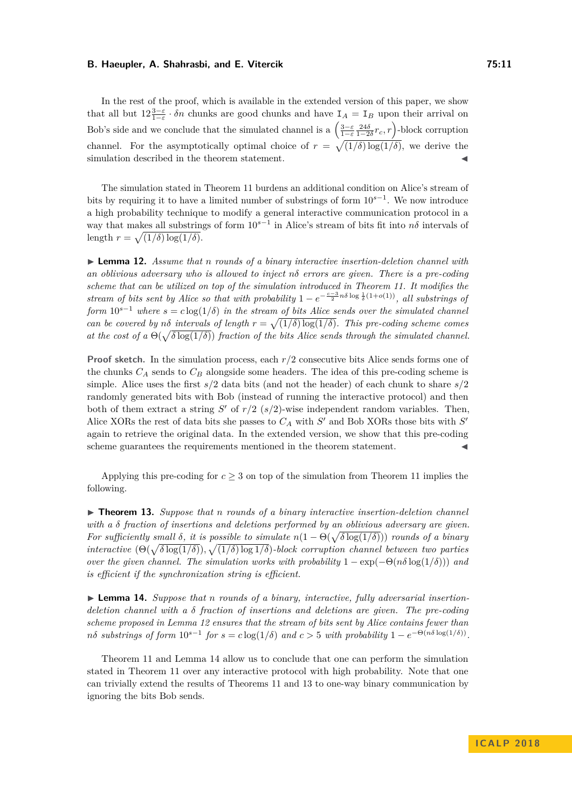In the rest of the proof, which is available in the extended version of this paper, we show that all but  $12\frac{3-\epsilon}{1-\epsilon} \cdot \delta n$  chunks are good chunks and have  $I_A = I_B$  upon their arrival on Bob's side and we conclude that the simulated channel is a  $\left(\frac{3-\varepsilon}{1-\varepsilon}\frac{24\delta}{1-2\delta}r_c,r\right)$ -block corruption channel. For the asymptotically optimal choice of  $r = \sqrt{(1/\delta)\log(1/\delta)}$ , we derive the simulation described in the theorem statement.

The simulation stated in Theorem [11](#page-9-0) burdens an additional condition on Alice's stream of bits by requiring it to have a limited number of substrings of form 10*s*−<sup>1</sup> . We now introduce a high probability technique to modify a general interactive communication protocol in a way that makes all substrings of form 10*s*−<sup>1</sup> in Alice's stream of bits fit into *nδ* intervals of length  $r = \sqrt{(1/\delta) \log(1/\delta)}$ .

<span id="page-10-0"></span>▶ **Lemma 12.** *Assume that n rounds* of a binary interactive insertion-deletion channel with *an oblivious adversary who is allowed to inject nδ errors are given. There is a pre-coding scheme that can be utilized on top of the simulation introduced in Theorem [11.](#page-9-0) It modifies the stream of bits sent by Alice so that with probability*  $1 - e^{-\frac{c-3}{2}n\delta \log \frac{1}{\delta}(1+o(1))}$ , all substrings of *form*  $10^{s-1}$  *where*  $s = c \log(1/\delta)$  *in the stream of bits Alice sends over the simulated channel can be covered by*  $n\delta$  *intervals of length*  $r = \sqrt{(1/\delta) \log(1/\delta)}$ . This pre-coding scheme comes *at the cost of a*  $\Theta(\sqrt{\delta \log(1/\delta)})$  *fraction of the bits Alice sends through the simulated channel.* 

**Proof sketch.** In the simulation process, each  $r/2$  consecutive bits Alice sends forms one of the chunks *C<sup>A</sup>* sends to *C<sup>B</sup>* alongside some headers. The idea of this pre-coding scheme is simple. Alice uses the first *s/*2 data bits (and not the header) of each chunk to share *s/*2 randomly generated bits with Bob (instead of running the interactive protocol) and then both of them extract a string  $S'$  of  $r/2$  ( $s/2$ )-wise independent random variables. Then, Alice XORs the rest of data bits she passes to  $C_A$  with  $S'$  and Bob XORs those bits with  $S'$ again to retrieve the original data. In the extended version, we show that this pre-coding scheme guarantees the requirements mentioned in the theorem statement.

Applying this pre-coding for  $c \geq 3$  on top of the simulation from Theorem [11](#page-9-0) implies the following.

<span id="page-10-2"></span>▶ **Theorem 13.** Suppose that *n* rounds of a binary interactive insertion-deletion channel *with a δ fraction of insertions and deletions performed by an oblivious adversary are given. For sufficiently small*  $\delta$ *, it is possible to simulate*  $n(1 - \Theta(\sqrt{\delta \log(1/\delta)}))$  *rounds of a binary interactive*  $(\Theta(\sqrt{\delta \log(1/\delta)})$ ,  $\sqrt{(1/\delta) \log 1/\delta})$ -block corruption channel between two parties *over the given channel. The simulation works with probability*  $1 - \exp(-\Theta(n\delta \log(1/\delta)))$  *and is efficient if the synchronization string is efficient.*

<span id="page-10-1"></span>▶ **Lemma 14.** Suppose that *n* rounds of a binary, interactive, fully adversarial insertion*deletion channel with a δ fraction of insertions and deletions are given. The pre-coding scheme proposed in Lemma [12](#page-10-0) ensures that the stream of bits sent by Alice contains fewer than*  $n\delta$  *substrings of form*  $10^{s-1}$  *for*  $s = c \log(1/\delta)$  *and*  $c > 5$  *with probability*  $1 - e^{-\Theta(n\delta \log(1/\delta))}$ .

Theorem [11](#page-9-0) and Lemma [14](#page-10-1) allow us to conclude that one can perform the simulation stated in Theorem [11](#page-9-0) over any interactive protocol with high probability. Note that one can trivially extend the results of Theorems [11](#page-9-0) and [13](#page-10-2) to one-way binary communication by ignoring the bits Bob sends.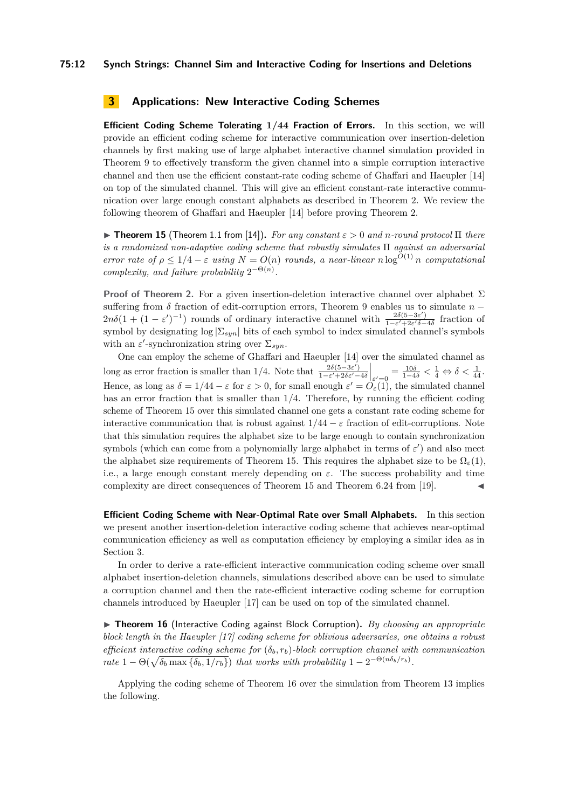### <span id="page-11-0"></span>**3 Applications: New Interactive Coding Schemes**

<span id="page-11-2"></span>**Efficient Coding Scheme Tolerating 1***/***44 Fraction of Errors.** In this section, we will provide an efficient coding scheme for interactive communication over insertion-deletion channels by first making use of large alphabet interactive channel simulation provided in Theorem [9](#page-8-0) to effectively transform the given channel into a simple corruption interactive channel and then use the efficient constant-rate coding scheme of Ghaffari and Haeupler [\[14\]](#page-12-3) on top of the simulated channel. This will give an efficient constant-rate interactive communication over large enough constant alphabets as described in Theorem [2.](#page-3-0) We review the following theorem of Ghaffari and Haeupler [\[14\]](#page-12-3) before proving Theorem [2.](#page-3-0)

<span id="page-11-1"></span> $\triangleright$  **Theorem 15** (Theorem 1.1 from [\[14\]](#page-12-3)). *For any constant*  $\varepsilon > 0$  *and n-round protocol*  $\Pi$  *there is a randomized non-adaptive coding scheme that robustly simulates* Π *against an adversarial error rate of*  $\rho \leq 1/4 - \varepsilon$  *using*  $N = O(n)$  *rounds, a near-linear*  $n \log^{O(1)} n$  *computational complexity, and failure probability*  $2^{-\Theta(n)}$ *.* 

**Proof of Theorem [2.](#page-3-0)** For a given insertion-deletion interactive channel over alphabet Σ suffering from *δ* fraction of edit-corruption errors, Theorem [9](#page-8-0) enables us to simulate *n* −  $2n\delta(1+(1-\varepsilon')^{-1})$  rounds of ordinary interactive channel with  $\frac{2\delta(5-3\varepsilon')}{1-\varepsilon'+2\varepsilon'\delta-1}$  $\frac{2\delta(5-3\epsilon)}{1-\epsilon'+2\epsilon'\delta-4\delta}$  fraction of symbol by designating  $\log |\Sigma_{syn}|$  bits of each symbol to index simulated channel's symbols with an  $\varepsilon'$ -synchronization string over  $\Sigma_{syn}$ .

One can employ the scheme of Ghaffari and Haeupler [\[14\]](#page-12-3) over the simulated channel as long as error fraction is smaller than 1/4. Note that  $\frac{2\delta(5-3\varepsilon')}{1-\varepsilon'+2\delta\varepsilon'}$  $\left. \frac{2\delta(5-3\varepsilon')}{1-\varepsilon'+2\delta\varepsilon'-4\delta} \right|_{\varepsilon' = 0} = \frac{10\delta}{1-4\delta} < \frac{1}{4} \Leftrightarrow \delta < \frac{1}{44}.$ Hence, as long as  $\delta = 1/44 - \varepsilon$  for  $\varepsilon > 0$ , for small enough  $\varepsilon' = O_{\varepsilon}(1)$ , the simulated channel has an error fraction that is smaller than  $1/4$ . Therefore, by running the efficient coding scheme of Theorem [15](#page-11-1) over this simulated channel one gets a constant rate coding scheme for interactive communication that is robust against  $1/44 - \varepsilon$  fraction of edit-corruptions. Note that this simulation requires the alphabet size to be large enough to contain synchronization symbols (which can come from a polynomially large alphabet in terms of  $\varepsilon'$ ) and also meet the alphabet size requirements of Theorem [15.](#page-11-1) This requires the alphabet size to be  $\Omega_{\varepsilon}(1)$ , i.e., a large enough constant merely depending on *ε*. The success probability and time complexity are direct consequences of Theorem [15](#page-11-1) and Theorem 6.24 from [\[19\]](#page-13-1).

**Efficient Coding Scheme with Near-Optimal Rate over Small Alphabets.** In this section we present another insertion-deletion interactive coding scheme that achieves near-optimal communication efficiency as well as computation efficiency by employing a similar idea as in Section [3.](#page-11-2)

In order to derive a rate-efficient interactive communication coding scheme over small alphabet insertion-deletion channels, simulations described above can be used to simulate a corruption channel and then the rate-efficient interactive coding scheme for corruption channels introduced by Haeupler [\[17\]](#page-13-5) can be used on top of the simulated channel.

<span id="page-11-3"></span>▶ **Theorem 16** (Interactive Coding against Block Corruption). *By choosing an appropriate block length in the Haeupler [\[17\]](#page-13-5) coding scheme for oblivious adversaries, one obtains a robust efficient interactive coding scheme for* (*δb, rb*)*-block corruption channel with communication rate*  $1 - \Theta(\sqrt{\delta_b \max\{\delta_b, 1/r_b\}})$  *that works with probability*  $1 - 2^{-\Theta(n\delta_b/r_b)}$ .

Applying the coding scheme of Theorem [16](#page-11-3) over the simulation from Theorem [13](#page-10-2) implies the following.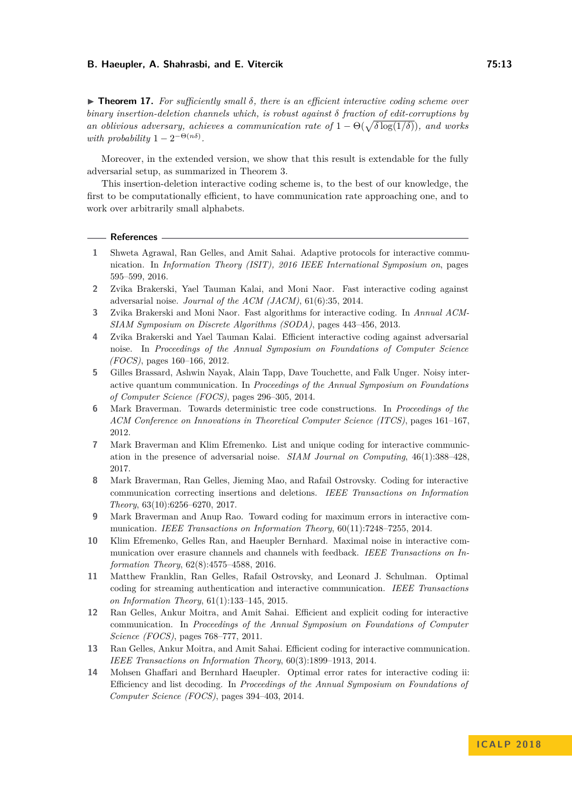**► Theorem 17.** For sufficiently small δ, there is an efficient interactive coding scheme over *binary insertion-deletion channels which, is robust against δ fraction of edit-corruptions by an oblivious adversary, achieves a communication rate of*  $1 - \Theta(\sqrt{\delta \log(1/\delta)})$ *, and works with probability*  $1 - 2^{-\Theta(n\delta)}$ .

Moreover, in the extended version, we show that this result is extendable for the fully adversarial setup, as summarized in Theorem [3.](#page-4-0)

This insertion-deletion interactive coding scheme is, to the best of our knowledge, the first to be computationally efficient, to have communication rate approaching one, and to work over arbitrarily small alphabets.

### **References**

- <span id="page-12-10"></span>**1** Shweta Agrawal, Ran Gelles, and Amit Sahai. Adaptive protocols for interactive communication. In *Information Theory (ISIT), 2016 IEEE International Symposium on*, pages 595–599, 2016.
- <span id="page-12-1"></span>**2** Zvika Brakerski, Yael Tauman Kalai, and Moni Naor. Fast interactive coding against adversarial noise. *Journal of the ACM (JACM)*, 61(6):35, 2014.
- <span id="page-12-5"></span>**3** Zvika Brakerski and Moni Naor. Fast algorithms for interactive coding. In *Annual ACM-SIAM Symposium on Discrete Algorithms (SODA)*, pages 443–456, 2013.
- <span id="page-12-4"></span>**4** Zvika Brakerski and Yael Tauman Kalai. Efficient interactive coding against adversarial noise. In *Proceedings of the Annual Symposium on Foundations of Computer Science (FOCS)*, pages 160–166, 2012.
- <span id="page-12-11"></span>**5** Gilles Brassard, Ashwin Nayak, Alain Tapp, Dave Touchette, and Falk Unger. Noisy interactive quantum communication. In *Proceedings of the Annual Symposium on Foundations of Computer Science (FOCS)*, pages 296–305, 2014.
- <span id="page-12-13"></span>**6** Mark Braverman. Towards deterministic tree code constructions. In *Proceedings of the ACM Conference on Innovations in Theoretical Computer Science (ITCS)*, pages 161–167, 2012.
- <span id="page-12-2"></span>**7** Mark Braverman and Klim Efremenko. List and unique coding for interactive communication in the presence of adversarial noise. *SIAM Journal on Computing*, 46(1):388–428, 2017.
- <span id="page-12-12"></span>**8** Mark Braverman, Ran Gelles, Jieming Mao, and Rafail Ostrovsky. Coding for interactive communication correcting insertions and deletions. *IEEE Transactions on Information Theory*, 63(10):6256–6270, 2017.
- <span id="page-12-0"></span>**9** Mark Braverman and Anup Rao. Toward coding for maximum errors in interactive communication. *IEEE Transactions on Information Theory*, 60(11):7248–7255, 2014.
- <span id="page-12-9"></span>**10** Klim Efremenko, Gelles Ran, and Haeupler Bernhard. Maximal noise in interactive communication over erasure channels and channels with feedback. *IEEE Transactions on Information Theory*, 62(8):4575–4588, 2016.
- <span id="page-12-8"></span>**11** Matthew Franklin, Ran Gelles, Rafail Ostrovsky, and Leonard J. Schulman. Optimal coding for streaming authentication and interactive communication. *IEEE Transactions on Information Theory*, 61(1):133–145, 2015.
- <span id="page-12-6"></span>**12** Ran Gelles, Ankur Moitra, and Amit Sahai. Efficient and explicit coding for interactive communication. In *Proceedings of the Annual Symposium on Foundations of Computer Science (FOCS)*, pages 768–777, 2011.
- <span id="page-12-7"></span>**13** Ran Gelles, Ankur Moitra, and Amit Sahai. Efficient coding for interactive communication. *IEEE Transactions on Information Theory*, 60(3):1899–1913, 2014.
- <span id="page-12-3"></span>**14** Mohsen Ghaffari and Bernhard Haeupler. Optimal error rates for interactive coding ii: Efficiency and list decoding. In *Proceedings of the Annual Symposium on Foundations of Computer Science (FOCS)*, pages 394–403, 2014.